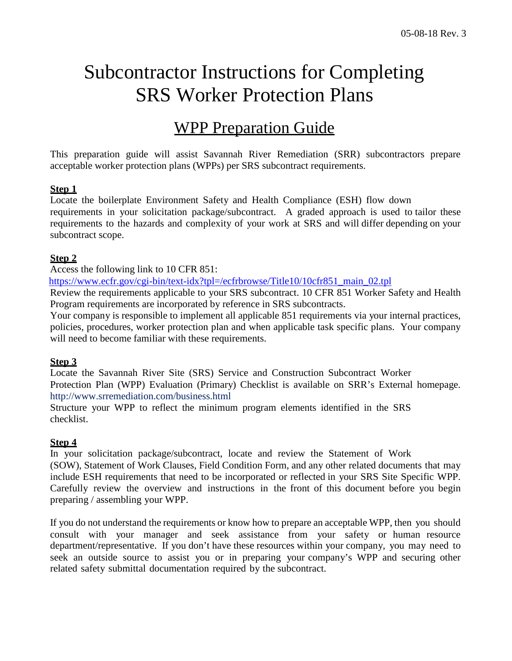# Subcontractor Instructions for Completing SRS Worker Protection Plans

# WPP Preparation Guide

This preparation guide will assist Savannah River Remediation (SRR) subcontractors prepare acceptable worker protection plans (WPPs) per SRS subcontract requirements.

#### **Step 1**

Locate the boilerplate Environment Safety and Health Compliance (ESH) flow down requirements in your solicitation package/subcontract. A graded approach is used to tailor these requirements to the hazards and complexity of your work at SRS and will differ depending on your subcontract scope.

### **Step 2**

Access the following link to 10 CFR 851:

[https://www.ecfr.gov/cgi-bin/text-idx?tpl=/ecfrbrowse/Title10/10cfr851\\_main\\_02.tpl](https://www.ecfr.gov/cgi-bin/text-idx?tpl=/ecfrbrowse/Title10/10cfr851_main_02.tpl)

Review the requirements applicable to your SRS subcontract. 10 CFR 851 Worker Safety and Health Program requirements are incorporated by reference in SRS subcontracts.

Your company is responsible to implement all applicable 851 requirements via your internal practices, policies, procedures, worker protection plan and when applicable task specific plans. Your company will need to become familiar with these requirements.

# **Step 3**

Locate the Savannah River Site (SRS) Service and Construction Subcontract Worker Protection Plan (WPP) Evaluation (Primary) Checklist is available on SRR's External homepage. http://www.srremediation.com/business.html

Structure your WPP to reflect the minimum program elements identified in the SRS checklist.

# **Step 4**

In your solicitation package/subcontract, locate and review the Statement of Work (SOW), Statement of Work Clauses, Field Condition Form, and any other related documents that may include ESH requirements that need to be incorporated or reflected in your SRS Site Specific WPP. Carefully review the overview and instructions in the front of this document before you begin preparing / assembling your WPP.

If you do not understand the requirements or know how to prepare an acceptable WPP, then you should consult with your manager and seek assistance from your safety or human resource department/representative. If you don't have these resources within your company, you may need to seek an outside source to assist you or in preparing your company's WPP and securing other related safety submittal documentation required by the subcontract.